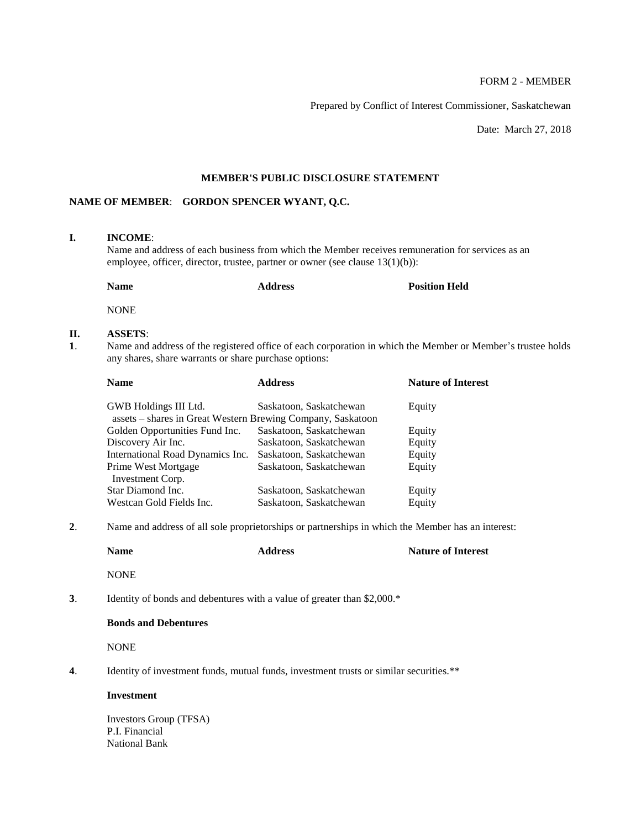# FORM 2 - MEMBER

Prepared by Conflict of Interest Commissioner, Saskatchewan

Date: March 27, 2018

## **MEMBER'S PUBLIC DISCLOSURE STATEMENT**

## **NAME OF MEMBER**: **GORDON SPENCER WYANT, Q.C.**

## **I. INCOME**:

Name and address of each business from which the Member receives remuneration for services as an employee, officer, director, trustee, partner or owner (see clause 13(1)(b)):

| <b>Name</b> | <b>Address</b> | <b>Position Held</b> |
|-------------|----------------|----------------------|
| <b>NONE</b> |                |                      |

#### **II. ASSETS**:

**1**. Name and address of the registered office of each corporation in which the Member or Member's trustee holds any shares, share warrants or share purchase options:

| <b>Name</b>                                                 | <b>Address</b>          | <b>Nature of Interest</b> |
|-------------------------------------------------------------|-------------------------|---------------------------|
| GWB Holdings III Ltd.                                       | Saskatoon, Saskatchewan | Equity                    |
| assets – shares in Great Western Brewing Company, Saskatoon |                         |                           |
| Golden Opportunities Fund Inc.                              | Saskatoon, Saskatchewan | Equity                    |
| Discovery Air Inc.                                          | Saskatoon, Saskatchewan | Equity                    |
| International Road Dynamics Inc.                            | Saskatoon, Saskatchewan | Equity                    |
| Prime West Mortgage                                         | Saskatoon, Saskatchewan | Equity                    |
| Investment Corp.                                            |                         |                           |
| Star Diamond Inc.                                           | Saskatoon, Saskatchewan | Equity                    |
| Westcan Gold Fields Inc.                                    | Saskatoon, Saskatchewan | Equity                    |
|                                                             |                         |                           |

**2**. Name and address of all sole proprietorships or partnerships in which the Member has an interest:

|    | <b>Name</b>                                                             | <b>Address</b> | <b>Nature of Interest</b> |
|----|-------------------------------------------------------------------------|----------------|---------------------------|
|    | <b>NONE</b>                                                             |                |                           |
| 3. | Identity of bonds and debentures with a value of greater than $2,000.*$ |                |                           |
|    | <b>Bonds and Debentures</b>                                             |                |                           |
|    |                                                                         |                |                           |

NONE

**4**. Identity of investment funds, mutual funds, investment trusts or similar securities.\*\*

#### **Investment**

Investors Group (TFSA) P.I. Financial National Bank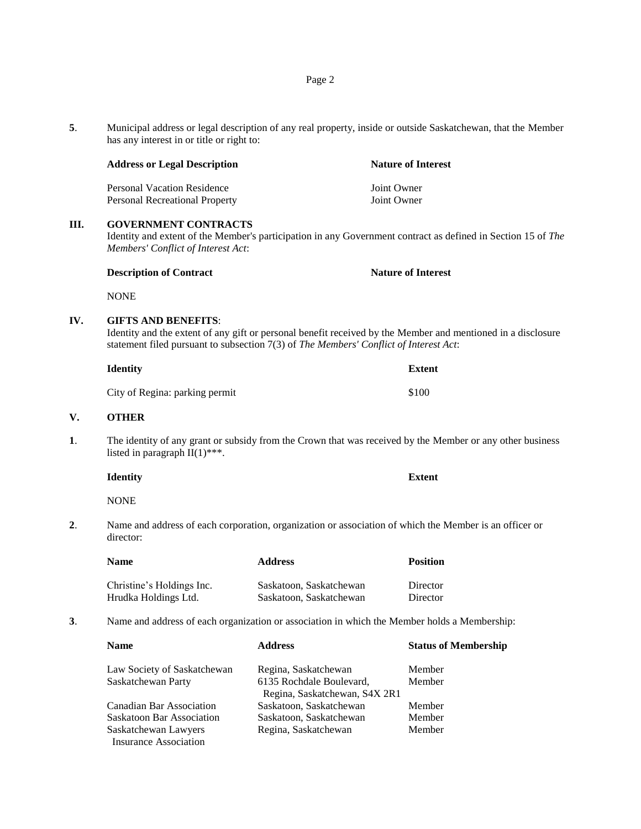|   | <b>Address or Legal Description</b>   | <b>Nature of Interest</b> |  |
|---|---------------------------------------|---------------------------|--|
|   | Personal Vacation Residence           | Joint Owner               |  |
|   | <b>Personal Recreational Property</b> | Joint Owner               |  |
| Ш | <b>GOVERNMENT CONTRACTS</b>           |                           |  |

Identity and extent of the Member's participation in any Government contract as defined in Section 15 of *The Members' Conflict of Interest Act*:

| <b>Description of Contract</b> | <b>Nature of Interest</b> |
|--------------------------------|---------------------------|
|--------------------------------|---------------------------|

NONE

#### **IV. GIFTS AND BENEFITS**:

has any interest in or title or right to:

Identity and the extent of any gift or personal benefit received by the Member and mentioned in a disclosure statement filed pursuant to subsection 7(3) of *The Members' Conflict of Interest Act*:

| Identity                       | <b>Extent</b> |
|--------------------------------|---------------|
| City of Regina: parking permit | \$100         |

#### **V. OTHER**

**1**. The identity of any grant or subsidy from the Crown that was received by the Member or any other business listed in paragraph  $II(1)$ \*\*\*.

**Identity Extent**

NONE

**2**. Name and address of each corporation, organization or association of which the Member is an officer or director:

| <b>Name</b>               | <b>Address</b>          | <b>Position</b> |
|---------------------------|-------------------------|-----------------|
| Christine's Holdings Inc. | Saskatoon, Saskatchewan | Director        |
| Hrudka Holdings Ltd.      | Saskatoon, Saskatchewan | Director        |

**3**. Name and address of each organization or association in which the Member holds a Membership:

| <b>Name</b>                      | <b>Address</b>                                            | <b>Status of Membership</b> |
|----------------------------------|-----------------------------------------------------------|-----------------------------|
| Law Society of Saskatchewan      | Regina, Saskatchewan                                      | Member                      |
| Saskatchewan Party               | 6135 Rochdale Boulevard,<br>Regina, Saskatchewan, S4X 2R1 | Member                      |
| Canadian Bar Association         | Saskatoon, Saskatchewan                                   | Member                      |
| <b>Saskatoon Bar Association</b> | Saskatoon, Saskatchewan                                   | Member                      |
| Saskatchewan Lawyers             | Regina, Saskatchewan                                      | Member                      |
| <b>Insurance Association</b>     |                                                           |                             |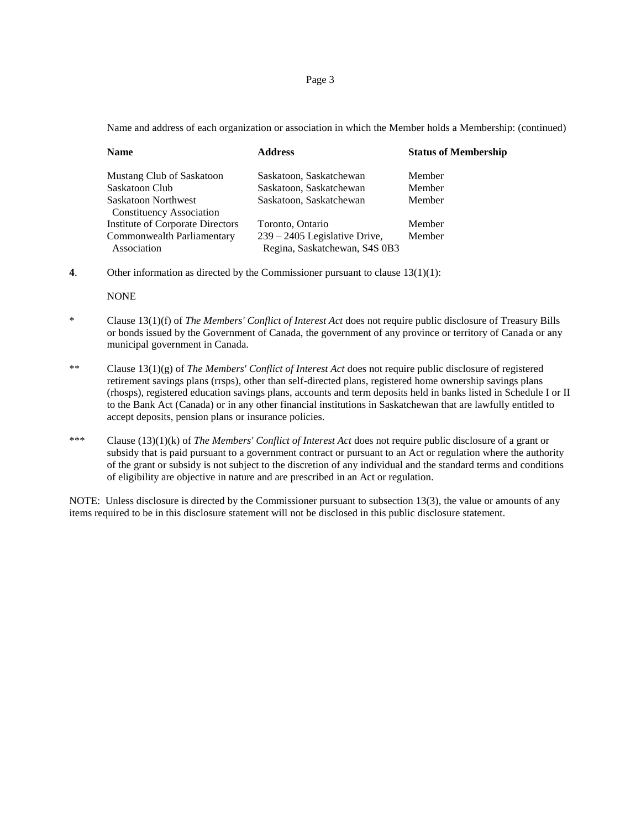#### Page 3

Name and address of each organization or association in which the Member holds a Membership: (continued)

| <b>Name</b>                                     | <b>Address</b>                                                 | <b>Status of Membership</b> |
|-------------------------------------------------|----------------------------------------------------------------|-----------------------------|
| Mustang Club of Saskatoon                       | Saskatoon, Saskatchewan                                        | Member                      |
| Saskatoon Club                                  | Saskatoon, Saskatchewan                                        | Member                      |
| Saskatoon Northwest<br>Constituency Association | Saskatoon, Saskatchewan                                        | Member                      |
| <b>Institute of Corporate Directors</b>         | Toronto, Ontario                                               | Member                      |
| Commonwealth Parliamentary<br>Association       | 239 – 2405 Legislative Drive,<br>Regina, Saskatchewan, S4S 0B3 | Member                      |

**4**. Other information as directed by the Commissioner pursuant to clause 13(1)(1):

NONE

- \* Clause 13(1)(f) of *The Members' Conflict of Interest Act* does not require public disclosure of Treasury Bills or bonds issued by the Government of Canada, the government of any province or territory of Canada or any municipal government in Canada.
- \*\* Clause 13(1)(g) of *The Members' Conflict of Interest Act* does not require public disclosure of registered retirement savings plans (rrsps), other than self-directed plans, registered home ownership savings plans (rhosps), registered education savings plans, accounts and term deposits held in banks listed in Schedule I or II to the Bank Act (Canada) or in any other financial institutions in Saskatchewan that are lawfully entitled to accept deposits, pension plans or insurance policies.
- \*\*\* Clause (13)(1)(k) of *The Members' Conflict of Interest Act* does not require public disclosure of a grant or subsidy that is paid pursuant to a government contract or pursuant to an Act or regulation where the authority of the grant or subsidy is not subject to the discretion of any individual and the standard terms and conditions of eligibility are objective in nature and are prescribed in an Act or regulation.

NOTE: Unless disclosure is directed by the Commissioner pursuant to subsection 13(3), the value or amounts of any items required to be in this disclosure statement will not be disclosed in this public disclosure statement.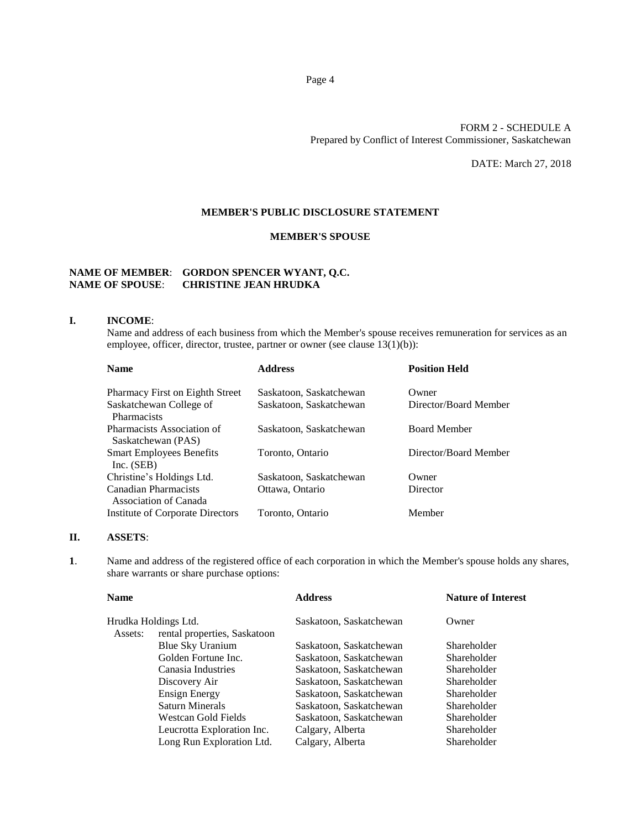## FORM 2 - SCHEDULE A Prepared by Conflict of Interest Commissioner, Saskatchewan

DATE: March 27, 2018

#### **MEMBER'S PUBLIC DISCLOSURE STATEMENT**

## **MEMBER'S SPOUSE**

# **NAME OF MEMBER**: **GORDON SPENCER WYANT, Q.C. NAME OF SPOUSE**: **CHRISTINE JEAN HRUDKA**

#### **I. INCOME**:

Name and address of each business from which the Member's spouse receives remuneration for services as an employee, officer, director, trustee, partner or owner (see clause 13(1)(b)):

| <b>Name</b>                                      | <b>Address</b>          | <b>Position Held</b>  |
|--------------------------------------------------|-------------------------|-----------------------|
| <b>Pharmacy First on Eighth Street</b>           | Saskatoon, Saskatchewan | Owner                 |
| Saskatchewan College of<br>Pharmacists           | Saskatoon, Saskatchewan | Director/Board Member |
| Pharmacists Association of<br>Saskatchewan (PAS) | Saskatoon, Saskatchewan | <b>Board Member</b>   |
| <b>Smart Employees Benefits</b><br>Inc. (SEB)    | Toronto, Ontario        | Director/Board Member |
| Christine's Holdings Ltd.                        | Saskatoon, Saskatchewan | Owner                 |
| Canadian Pharmacists<br>Association of Canada    | Ottawa, Ontario         | Director              |
| Institute of Corporate Directors                 | Toronto, Ontario        | Member                |

## **II. ASSETS**:

**1**. Name and address of the registered office of each corporation in which the Member's spouse holds any shares, share warrants or share purchase options:

|                              | <b>Address</b>             | <b>Nature of Interest</b> |
|------------------------------|----------------------------|---------------------------|
| Hrudka Holdings Ltd.         | Saskatoon, Saskatchewan    | Owner                     |
| rental properties, Saskatoon |                            |                           |
| Blue Sky Uranium             | Saskatoon, Saskatchewan    | Shareholder               |
| Golden Fortune Inc.          | Saskatoon, Saskatchewan    | Shareholder               |
| Canasia Industries           | Saskatoon, Saskatchewan    | Shareholder               |
| Discovery Air                | Saskatoon, Saskatchewan    | Shareholder               |
| Ensign Energy                | Saskatoon, Saskatchewan    | Shareholder               |
| Saturn Minerals              | Saskatoon, Saskatchewan    | Shareholder               |
| Westcan Gold Fields          | Saskatoon, Saskatchewan    | Shareholder               |
|                              |                            | Shareholder               |
| Long Run Exploration Ltd.    | Calgary, Alberta           | Shareholder               |
|                              | Leucrotta Exploration Inc. | Calgary, Alberta          |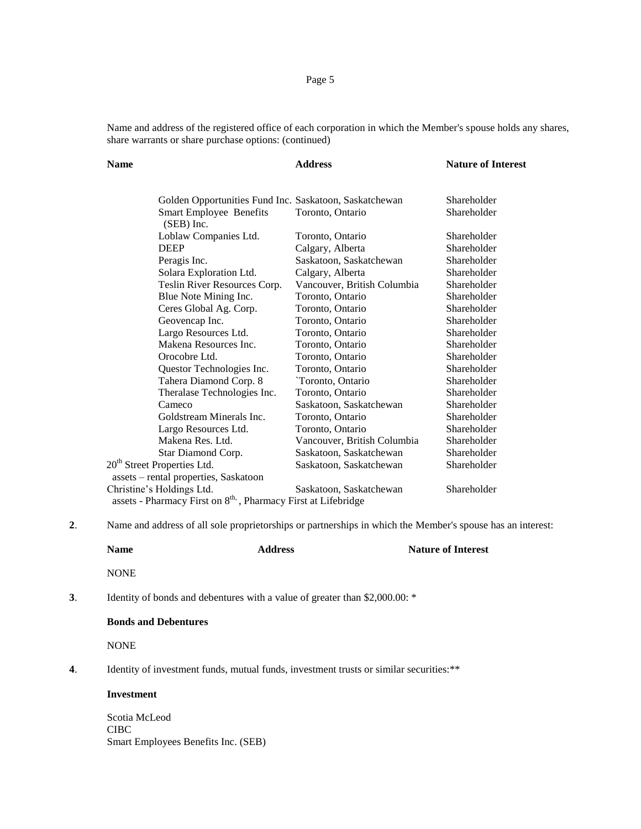# Page 5

Name and address of the registered office of each corporation in which the Member's spouse holds any shares, share warrants or share purchase options: (continued)

| <b>Name</b>                                                                | <b>Address</b>              | <b>Nature of Interest</b> |
|----------------------------------------------------------------------------|-----------------------------|---------------------------|
| Golden Opportunities Fund Inc. Saskatoon, Saskatchewan                     |                             | Shareholder               |
| <b>Smart Employee Benefits</b><br>$(SEB)$ Inc.                             | Toronto, Ontario            | Shareholder               |
| Loblaw Companies Ltd.                                                      | Toronto, Ontario            | Shareholder               |
| <b>DEEP</b>                                                                | Calgary, Alberta            | Shareholder               |
| Peragis Inc.                                                               | Saskatoon, Saskatchewan     | Shareholder               |
| Solara Exploration Ltd.                                                    | Calgary, Alberta            | Shareholder               |
| Teslin River Resources Corp.                                               | Vancouver, British Columbia | Shareholder               |
| Blue Note Mining Inc.                                                      | Toronto, Ontario            | Shareholder               |
| Ceres Global Ag. Corp.                                                     | Toronto, Ontario            | Shareholder               |
| Geovencap Inc.                                                             | Toronto, Ontario            | Shareholder               |
| Largo Resources Ltd.                                                       | Toronto, Ontario            | Shareholder               |
| Makena Resources Inc.                                                      | Toronto, Ontario            | Shareholder               |
| Orocobre Ltd.                                                              | Toronto, Ontario            | Shareholder               |
| Questor Technologies Inc.                                                  | Toronto, Ontario            | Shareholder               |
| Tahera Diamond Corp. 8                                                     | 'Toronto, Ontario           | Shareholder               |
| Theralase Technologies Inc.                                                | Toronto, Ontario            | Shareholder               |
| Cameco                                                                     | Saskatoon, Saskatchewan     | Shareholder               |
| Goldstream Minerals Inc.                                                   | Toronto, Ontario            | Shareholder               |
| Largo Resources Ltd.                                                       | Toronto, Ontario            | Shareholder               |
| Makena Res. Ltd.                                                           | Vancouver, British Columbia | Shareholder               |
| Star Diamond Corp.                                                         | Saskatoon, Saskatchewan     | Shareholder               |
| 20 <sup>th</sup> Street Properties Ltd.                                    | Saskatoon, Saskatchewan     | Shareholder               |
| assets - rental properties, Saskatoon                                      |                             |                           |
| Christine's Holdings Ltd.                                                  | Saskatoon, Saskatchewan     | Shareholder               |
| assets - Pharmacy First on 8 <sup>th,</sup> , Pharmacy First at Lifebridge |                             |                           |

**2**. Name and address of all sole proprietorships or partnerships in which the Member's spouse has an interest:

|    | <b>Name</b>                                                                             | <b>Address</b> | <b>Nature of Interest</b> |  |
|----|-----------------------------------------------------------------------------------------|----------------|---------------------------|--|
|    | <b>NONE</b>                                                                             |                |                           |  |
| 3. | Identity of bonds and debentures with a value of greater than \$2,000.00: *             |                |                           |  |
|    | <b>Bonds and Debentures</b>                                                             |                |                           |  |
|    | <b>NONE</b>                                                                             |                |                           |  |
| 4. | Identity of investment funds, mutual funds, investment trusts or similar securities: ** |                |                           |  |
|    | Investment                                                                              |                |                           |  |

Scotia McLeod CIBC Smart Employees Benefits Inc. (SEB)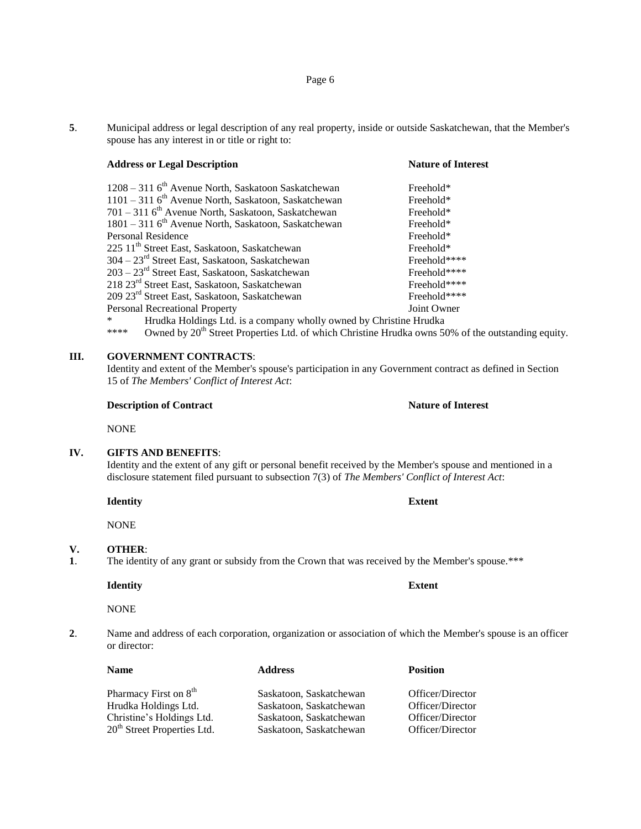**5**. Municipal address or legal description of any real property, inside or outside Saskatchewan, that the Member's spouse has any interest in or title or right to:

# **Address or Legal Description Nature of Interest**

| 1208 – 311 6 <sup>th</sup> Avenue North, Saskatoon Saskatchewan                                                                      | Freehold*    |  |
|--------------------------------------------------------------------------------------------------------------------------------------|--------------|--|
| $1101 - 311$ 6 <sup>th</sup> Avenue North, Saskatoon, Saskatchewan                                                                   | Freehold*    |  |
| 701 – 311 6 <sup>th</sup> Avenue North, Saskatoon, Saskatchewan                                                                      | Freehold*    |  |
| 1801 – 311 6 <sup>th</sup> Avenue North, Saskatoon, Saskatchewan                                                                     | Freehold*    |  |
| Personal Residence                                                                                                                   | Freehold*    |  |
| 225 11 <sup>th</sup> Street East, Saskatoon, Saskatchewan                                                                            | Freehold*    |  |
| 304 – 23 <sup>rd</sup> Street East, Saskatoon, Saskatchewan                                                                          | Freehold**** |  |
| 203 – 23 <sup>rd</sup> Street East, Saskatoon, Saskatchewan                                                                          | Freehold**** |  |
| 218 23 <sup>rd</sup> Street East, Saskatoon, Saskatchewan                                                                            | Freehold**** |  |
| 209 23 <sup>rd</sup> Street East, Saskatoon, Saskatchewan                                                                            | Freehold**** |  |
| Personal Recreational Property                                                                                                       | Joint Owner  |  |
| $\mathcal{R}$ . If the distribution of the construction of the distribution of the distribution of the distribution of $\mathcal{R}$ |              |  |

Hrudka Holdings Ltd. is a company wholly owned by Christine Hrudka \*\*\*\* Owned by  $20<sup>th</sup>$  Street Properties Ltd. of which Christine Hrudka owns 50% of the outstanding equity.

## **III. GOVERNMENT CONTRACTS**:

Identity and extent of the Member's spouse's participation in any Government contract as defined in Section 15 of *The Members' Conflict of Interest Act*:

## **Description of Contract Nature of Interest**

NONE

## **IV. GIFTS AND BENEFITS**:

Identity and the extent of any gift or personal benefit received by the Member's spouse and mentioned in a disclosure statement filed pursuant to subsection 7(3) of *The Members' Conflict of Interest Act*:

**Identity Extent**

NONE

#### **V. OTHER**:

**1**. The identity of any grant or subsidy from the Crown that was received by the Member's spouse.\*\*\*

## **Identity Extent**

NONE

**2**. Name and address of each corporation, organization or association of which the Member's spouse is an officer or director:

| <b>Name</b>                             | <b>Address</b>          | <b>Position</b>  |
|-----------------------------------------|-------------------------|------------------|
| Pharmacy First on 8 <sup>th</sup>       | Saskatoon, Saskatchewan | Officer/Director |
| Hrudka Holdings Ltd.                    | Saskatoon, Saskatchewan | Officer/Director |
| Christine's Holdings Ltd.               | Saskatoon, Saskatchewan | Officer/Director |
| 20 <sup>th</sup> Street Properties Ltd. | Saskatoon, Saskatchewan | Officer/Director |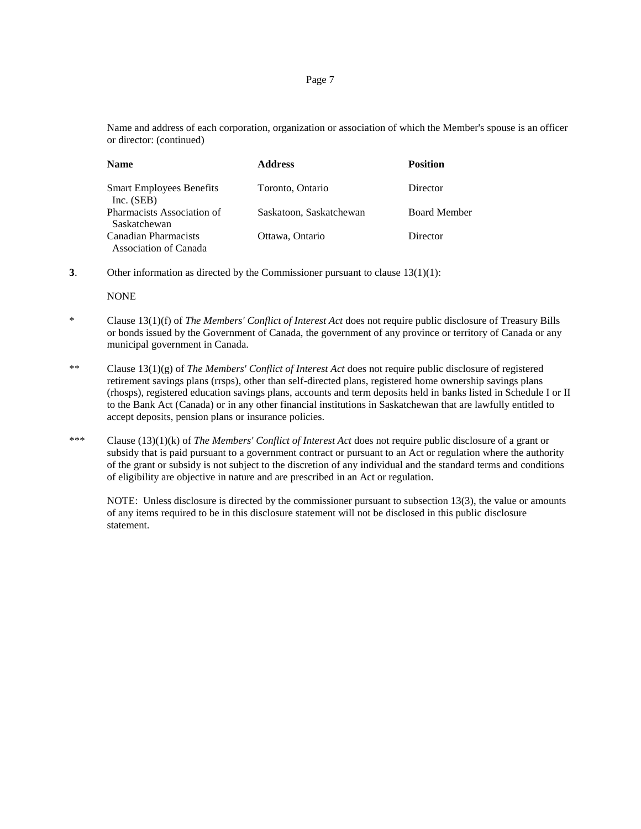Name and address of each corporation, organization or association of which the Member's spouse is an officer or director: (continued)

| <b>Name</b>                                     | <b>Address</b>          | <b>Position</b>     |  |
|-------------------------------------------------|-------------------------|---------------------|--|
| <b>Smart Employees Benefits</b><br>Inc. $(SEB)$ | Toronto, Ontario        | Director            |  |
| Pharmacists Association of<br>Saskatchewan      | Saskatoon, Saskatchewan | <b>Board Member</b> |  |
| Canadian Pharmacists<br>Association of Canada   | Ottawa, Ontario         | Director            |  |

**3**. Other information as directed by the Commissioner pursuant to clause 13(1)(1):

NONE

- \* Clause 13(1)(f) of *The Members' Conflict of Interest Act* does not require public disclosure of Treasury Bills or bonds issued by the Government of Canada, the government of any province or territory of Canada or any municipal government in Canada.
- \*\* Clause 13(1)(g) of *The Members' Conflict of Interest Act* does not require public disclosure of registered retirement savings plans (rrsps), other than self-directed plans, registered home ownership savings plans (rhosps), registered education savings plans, accounts and term deposits held in banks listed in Schedule I or II to the Bank Act (Canada) or in any other financial institutions in Saskatchewan that are lawfully entitled to accept deposits, pension plans or insurance policies.
- \*\*\* Clause (13)(1)(k) of *The Members' Conflict of Interest Act* does not require public disclosure of a grant or subsidy that is paid pursuant to a government contract or pursuant to an Act or regulation where the authority of the grant or subsidy is not subject to the discretion of any individual and the standard terms and conditions of eligibility are objective in nature and are prescribed in an Act or regulation.

NOTE: Unless disclosure is directed by the commissioner pursuant to subsection 13(3), the value or amounts of any items required to be in this disclosure statement will not be disclosed in this public disclosure statement.